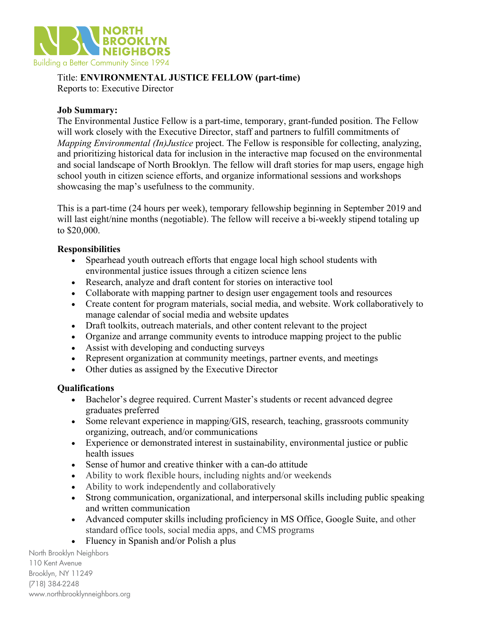

# Title: **ENVIRONMENTAL JUSTICE FELLOW (part-time)**

Reports to: Executive Director

#### **Job Summary:**

The Environmental Justice Fellow is a part-time, temporary, grant-funded position. The Fellow will work closely with the Executive Director, staff and partners to fulfill commitments of *Mapping Environmental (In)Justice* project. The Fellow is responsible for collecting, analyzing, and prioritizing historical data for inclusion in the interactive map focused on the environmental and social landscape of North Brooklyn. The fellow will draft stories for map users, engage high school youth in citizen science efforts, and organize informational sessions and workshops showcasing the map's usefulness to the community.

This is a part-time (24 hours per week), temporary fellowship beginning in September 2019 and will last eight/nine months (negotiable). The fellow will receive a bi-weekly stipend totaling up to \$20,000.

## **Responsibilities**

- Spearhead youth outreach efforts that engage local high school students with environmental justice issues through a citizen science lens
- Research, analyze and draft content for stories on interactive tool
- Collaborate with mapping partner to design user engagement tools and resources
- Create content for program materials, social media, and website. Work collaboratively to manage calendar of social media and website updates
- Draft toolkits, outreach materials, and other content relevant to the project
- Organize and arrange community events to introduce mapping project to the public
- Assist with developing and conducting surveys
- Represent organization at community meetings, partner events, and meetings
- Other duties as assigned by the Executive Director

#### **Qualifications**

- Bachelor's degree required. Current Master's students or recent advanced degree graduates preferred
- Some relevant experience in mapping/GIS, research, teaching, grassroots community organizing, outreach, and/or communications
- Experience or demonstrated interest in sustainability, environmental justice or public health issues
- Sense of humor and creative thinker with a can-do attitude
- Ability to work flexible hours, including nights and/or weekends
- Ability to work independently and collaboratively
- Strong communication, organizational, and interpersonal skills including public speaking and written communication
- Advanced computer skills including proficiency in MS Office, Google Suite, and other standard office tools, social media apps, and CMS programs
- Fluency in Spanish and/or Polish a plus

North Brooklyn Neighbors 110 Kent Avenue Brooklyn, NY 11249 (718) 384-2248 www.northbrooklynneighbors.org